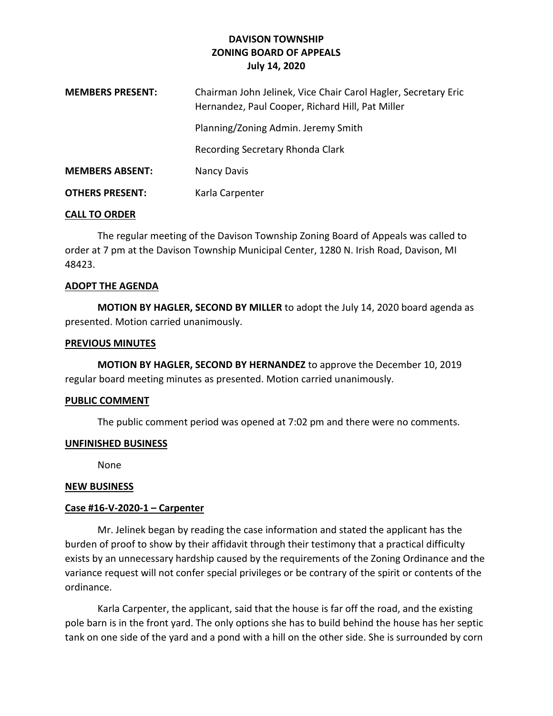# **DAVISON TOWNSHIP ZONING BOARD OF APPEALS July 14, 2020**

| <b>MEMBERS PRESENT:</b> | Chairman John Jelinek, Vice Chair Carol Hagler, Secretary Eric<br>Hernandez, Paul Cooper, Richard Hill, Pat Miller |
|-------------------------|--------------------------------------------------------------------------------------------------------------------|
|                         | Planning/Zoning Admin. Jeremy Smith                                                                                |
|                         | Recording Secretary Rhonda Clark                                                                                   |
| <b>MEMBERS ABSENT:</b>  | Nancy Davis                                                                                                        |
| <b>OTHERS PRESENT:</b>  | Karla Carpenter                                                                                                    |

## **CALL TO ORDER**

The regular meeting of the Davison Township Zoning Board of Appeals was called to order at 7 pm at the Davison Township Municipal Center, 1280 N. Irish Road, Davison, MI 48423.

#### **ADOPT THE AGENDA**

**MOTION BY HAGLER, SECOND BY MILLER** to adopt the July 14, 2020 board agenda as presented. Motion carried unanimously.

#### **PREVIOUS MINUTES**

**MOTION BY HAGLER, SECOND BY HERNANDEZ** to approve the December 10, 2019 regular board meeting minutes as presented. Motion carried unanimously.

## **PUBLIC COMMENT**

The public comment period was opened at 7:02 pm and there were no comments.

## **UNFINISHED BUSINESS**

None

#### **NEW BUSINESS**

## **Case #16-V-2020-1 – Carpenter**

Mr. Jelinek began by reading the case information and stated the applicant has the burden of proof to show by their affidavit through their testimony that a practical difficulty exists by an unnecessary hardship caused by the requirements of the Zoning Ordinance and the variance request will not confer special privileges or be contrary of the spirit or contents of the ordinance.

Karla Carpenter, the applicant, said that the house is far off the road, and the existing pole barn is in the front yard. The only options she has to build behind the house has her septic tank on one side of the yard and a pond with a hill on the other side. She is surrounded by corn